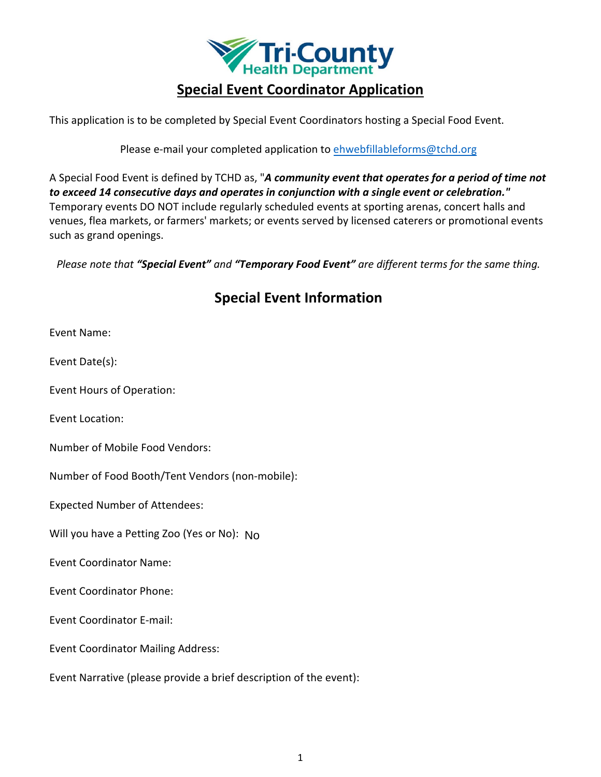

# **Special Event Coordinator Application**

This application is to be completed by Special Event Coordinators hosting a Special Food Event.

Please e-mail your completed application to [ehwebfillableforms@tchd.org](mailto:ehwebfillableforms@tchd.org)

A Special Food Event is defined by TCHD as, "*A community event that operates for a period of time not to exceed 14 consecutive days and operates in conjunction with a single event or celebration."* Temporary events DO NOT include regularly scheduled events at sporting arenas, concert halls and venues, flea markets, or farmers' markets; or events served by licensed caterers or promotional events such as grand openings.

*Please note that "Special Event" and "Temporary Food Event" are different terms for the same thing.* 

# **Special Event Information**

Event Name:

Event Date(s):

Event Hours of Operation:

Event Location:

Number of Mobile Food Vendors:

Number of Food Booth/Tent Vendors (non-mobile):

Expected Number of Attendees:

Will you have a Petting Zoo (Yes or No): No

Event Coordinator Name:

Event Coordinator Phone:

Event Coordinator E-mail:

Event Coordinator Mailing Address:

Event Narrative (please provide a brief description of the event):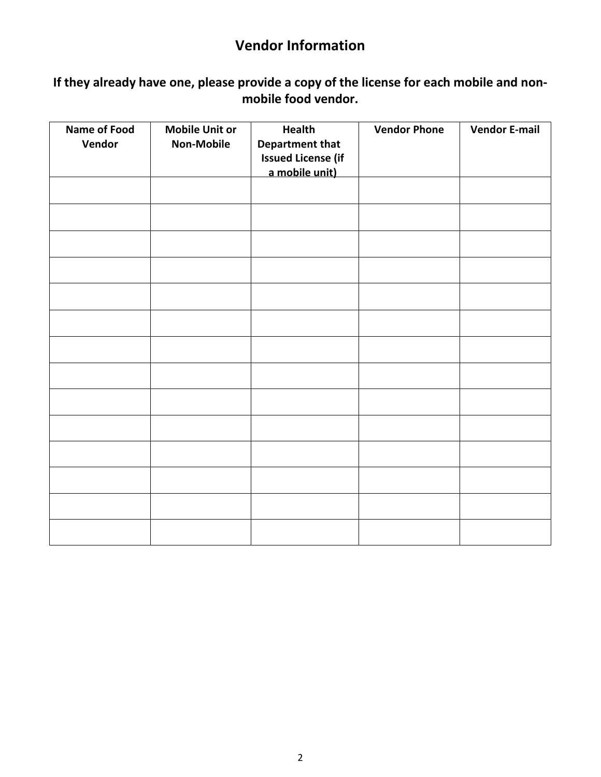# **Vendor Information**

## **If they already have one, please provide a copy of the license for each mobile and nonmobile food vendor.**

| <b>Name of Food</b><br>Vendor | <b>Mobile Unit or</b><br><b>Non-Mobile</b> | <b>Health</b><br><b>Department that</b><br><b>Issued License (if</b><br>a mobile unit) | <b>Vendor Phone</b> | <b>Vendor E-mail</b> |
|-------------------------------|--------------------------------------------|----------------------------------------------------------------------------------------|---------------------|----------------------|
|                               |                                            |                                                                                        |                     |                      |
|                               |                                            |                                                                                        |                     |                      |
|                               |                                            |                                                                                        |                     |                      |
|                               |                                            |                                                                                        |                     |                      |
|                               |                                            |                                                                                        |                     |                      |
|                               |                                            |                                                                                        |                     |                      |
|                               |                                            |                                                                                        |                     |                      |
|                               |                                            |                                                                                        |                     |                      |
|                               |                                            |                                                                                        |                     |                      |
|                               |                                            |                                                                                        |                     |                      |
|                               |                                            |                                                                                        |                     |                      |
|                               |                                            |                                                                                        |                     |                      |
|                               |                                            |                                                                                        |                     |                      |
|                               |                                            |                                                                                        |                     |                      |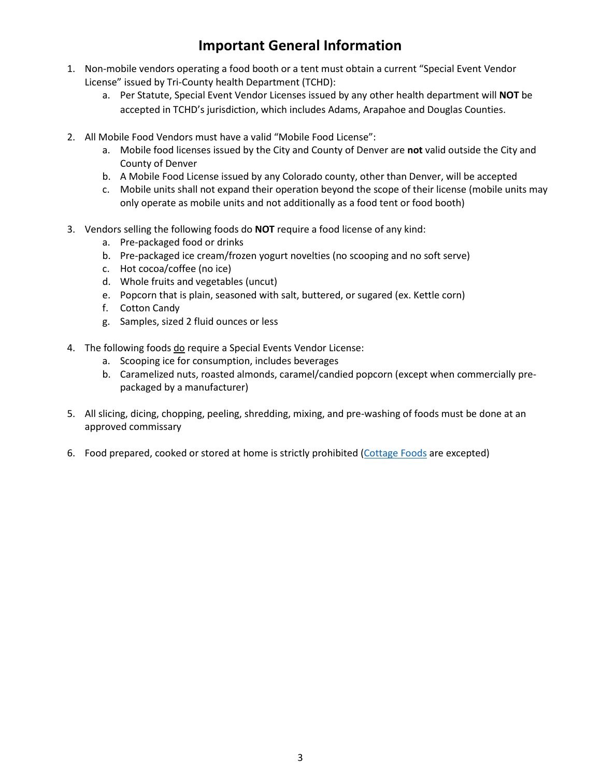# **Important General Information**

- 1. Non-mobile vendors operating a food booth or a tent must obtain a current "Special Event Vendor License" issued by Tri-County health Department (TCHD):
	- a. Per Statute, Special Event Vendor Licenses issued by any other health department will **NOT** be accepted in TCHD's jurisdiction, which includes Adams, Arapahoe and Douglas Counties.
- 2. All Mobile Food Vendors must have a valid "Mobile Food License":
	- a. Mobile food licenses issued by the City and County of Denver are **not** valid outside the City and County of Denver
	- b. A Mobile Food License issued by any Colorado county, other than Denver, will be accepted
	- c. Mobile units shall not expand their operation beyond the scope of their license (mobile units may only operate as mobile units and not additionally as a food tent or food booth)
- 3. Vendors selling the following foods do **NOT** require a food license of any kind:
	- a. Pre-packaged food or drinks
	- b. Pre-packaged ice cream/frozen yogurt novelties (no scooping and no soft serve)
	- c. Hot cocoa/coffee (no ice)
	- d. Whole fruits and vegetables (uncut)
	- e. Popcorn that is plain, seasoned with salt, buttered, or sugared (ex. Kettle corn)
	- f. Cotton Candy
	- g. Samples, sized 2 fluid ounces or less
- 4. The following foods do require a Special Events Vendor License:
	- a. Scooping ice for consumption, includes beverages
	- b. Caramelized nuts, roasted almonds, caramel/candied popcorn (except when commercially prepackaged by a manufacturer)
- 5. All slicing, dicing, chopping, peeling, shredding, mixing, and pre-washing of foods must be done at an approved commissary
- 6. Food prepared, cooked or stored at home is strictly prohibited [\(Cottage Foods](https://www.tchd.org/245/Cottage-Food) are excepted)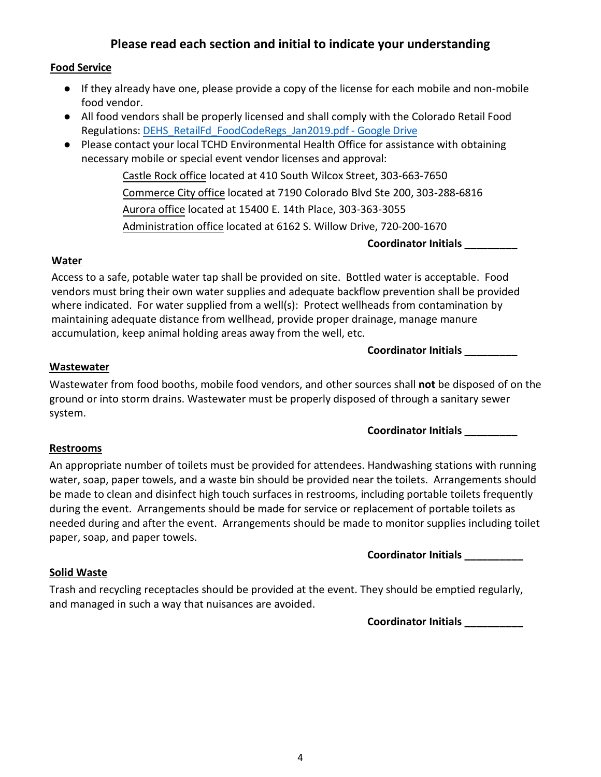### **Please read each section and initial to indicate your understanding**

### **Food Service**

- If they already have one, please provide a copy of the license for each mobile and non-mobile food vendor.
- All food vendors shall be properly licensed and shall comply with the Colorado Retail Food Regulations[: DEHS\\_RetailFd\\_FoodCodeRegs\\_Jan2019.pdf - Google Drive](https://drive.google.com/file/d/18-uo0wlxj9xvOoT6Ai4x6ZMYIiuu2v1G/view)
- Please contact your local TCHD Environmental Health Office for assistance with obtaining necessary mobile or special event vendor licenses and approval:

Castle Rock office located at 410 South Wilcox Street, 303-663-7650 Commerce City office located at 7190 Colorado Blvd Ste 200, 303-288-6816 Aurora office located at 15400 E. 14th Place, 303-363-3055 Administration office located at 6162 S. Willow Drive, 720-200-1670

**Coordinator Initials \_\_\_\_\_\_\_\_\_**

#### **Water**

Access to a safe, potable water tap shall be provided on site. Bottled water is acceptable. Food vendors must bring their own water supplies and adequate backflow prevention shall be provided where indicated. For water supplied from a well(s): Protect wellheads from contamination by maintaining adequate distance from wellhead, provide proper drainage, manage manure accumulation, keep animal holding areas away from the well, etc.

#### **Coordinator Initials \_\_\_\_\_\_\_\_\_**

### **Wastewater**

Wastewater from food booths, mobile food vendors, and other sources shall **not** be disposed of on the ground or into storm drains. Wastewater must be properly disposed of through a sanitary sewer system.

**Coordinator Initials \_\_\_\_\_\_\_\_\_**

#### **Restrooms**

An appropriate number of toilets must be provided for attendees. Handwashing stations with running water, soap, paper towels, and a waste bin should be provided near the toilets. Arrangements should be made to clean and disinfect high touch surfaces in restrooms, including portable toilets frequently during the event. Arrangements should be made for service or replacement of portable toilets as needed during and after the event. Arrangements should be made to monitor supplies including toilet paper, soap, and paper towels.

**Coordinator Initials \_\_\_\_\_\_\_\_\_\_**

### **Solid Waste**

Trash and recycling receptacles should be provided at the event. They should be emptied regularly, and managed in such a way that nuisances are avoided.

**Coordinator Initials \_\_\_\_\_\_\_\_\_\_**